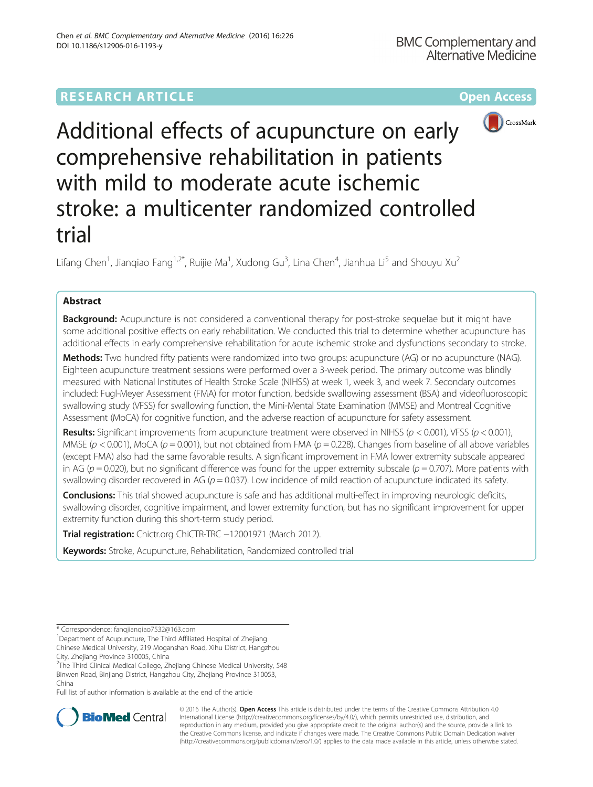# **RESEARCH ARTICLE Example 2014 12:30 The Community Community Community Community Community Community Community**



Additional effects of acupuncture on early comprehensive rehabilitation in patients with mild to moderate acute ischemic stroke: a multicenter randomized controlled trial

Lifang Chen<sup>1</sup>, Jianqiao Fang<sup>1,2\*</sup>, Ruijie Ma<sup>1</sup>, Xudong Gu<sup>3</sup>, Lina Chen<sup>4</sup>, Jianhua Li<sup>5</sup> and Shouyu Xu<sup>2</sup>

## Abstract

Background: Acupuncture is not considered a conventional therapy for post-stroke sequelae but it might have some additional positive effects on early rehabilitation. We conducted this trial to determine whether acupuncture has additional effects in early comprehensive rehabilitation for acute ischemic stroke and dysfunctions secondary to stroke.

Methods: Two hundred fifty patients were randomized into two groups: acupuncture (AG) or no acupuncture (NAG). Eighteen acupuncture treatment sessions were performed over a 3-week period. The primary outcome was blindly measured with National Institutes of Health Stroke Scale (NIHSS) at week 1, week 3, and week 7. Secondary outcomes included: Fugl-Meyer Assessment (FMA) for motor function, bedside swallowing assessment (BSA) and videofluoroscopic swallowing study (VFSS) for swallowing function, the Mini-Mental State Examination (MMSE) and Montreal Cognitive Assessment (MoCA) for cognitive function, and the adverse reaction of acupuncture for safety assessment.

**Results:** Significant improvements from acupuncture treatment were observed in NIHSS ( $p < 0.001$ ), VFSS ( $p < 0.001$ ), MMSE ( $p < 0.001$ ), MoCA ( $p = 0.001$ ), but not obtained from FMA ( $p = 0.228$ ). Changes from baseline of all above variables (except FMA) also had the same favorable results. A significant improvement in FMA lower extremity subscale appeared in AG ( $p = 0.020$ ), but no significant difference was found for the upper extremity subscale ( $p = 0.707$ ). More patients with swallowing disorder recovered in AG ( $p = 0.037$ ). Low incidence of mild reaction of acupuncture indicated its safety.

Conclusions: This trial showed acupuncture is safe and has additional multi-effect in improving neurologic deficits, swallowing disorder, cognitive impairment, and lower extremity function, but has no significant improvement for upper extremity function during this short-term study period.

Trial registration: [Chictr.org](http://www.chictr.org/en/proj/show.aspx?proj=2560) ChiCTR-TRC −12001971 (March 2012).

Keywords: Stroke, Acupuncture, Rehabilitation, Randomized controlled trial

<sup>1</sup>Department of Acupuncture, The Third Affiliated Hospital of Zhejiang Chinese Medical University, 219 Moganshan Road, Xihu District, Hangzhou

Full list of author information is available at the end of the article



© 2016 The Author(s). Open Access This article is distributed under the terms of the Creative Commons Attribution 4.0 International License [\(http://creativecommons.org/licenses/by/4.0/](http://creativecommons.org/licenses/by/4.0/)), which permits unrestricted use, distribution, and reproduction in any medium, provided you give appropriate credit to the original author(s) and the source, provide a link to the Creative Commons license, and indicate if changes were made. The Creative Commons Public Domain Dedication waiver [\(http://creativecommons.org/publicdomain/zero/1.0/](http://creativecommons.org/publicdomain/zero/1.0/)) applies to the data made available in this article, unless otherwise stated.

<sup>\*</sup> Correspondence: [fangjianqiao7532@163.com](mailto:fangjianqiao7532@163.com) <sup>1</sup>

City, Zhejiang Province 310005, China

<sup>&</sup>lt;sup>2</sup>The Third Clinical Medical College, Zhejiang Chinese Medical University, 548 Binwen Road, Binjiang District, Hangzhou City, Zhejiang Province 310053, China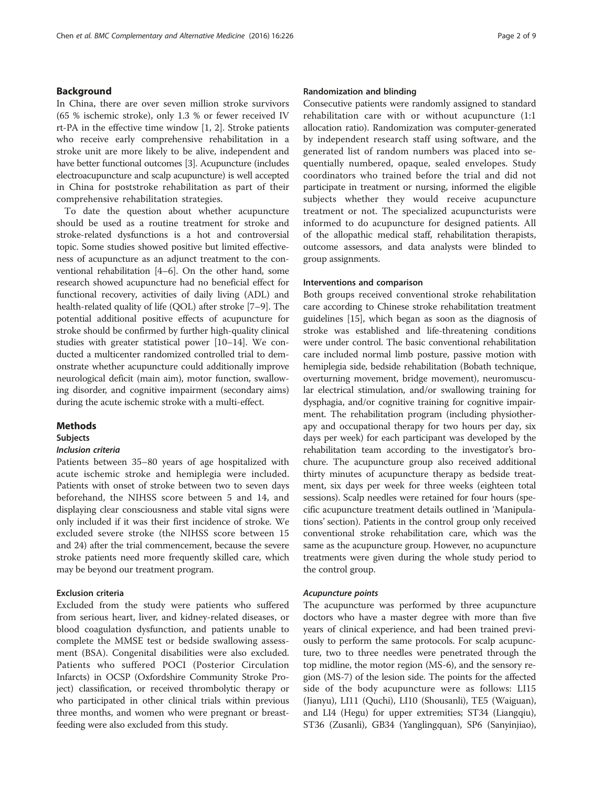## Background

In China, there are over seven million stroke survivors (65 % ischemic stroke), only 1.3 % or fewer received IV rt-PA in the effective time window [\[1](#page-8-0), [2\]](#page-8-0). Stroke patients who receive early comprehensive rehabilitation in a stroke unit are more likely to be alive, independent and have better functional outcomes [[3](#page-8-0)]. Acupuncture (includes electroacupuncture and scalp acupuncture) is well accepted in China for poststroke rehabilitation as part of their comprehensive rehabilitation strategies.

To date the question about whether acupuncture should be used as a routine treatment for stroke and stroke-related dysfunctions is a hot and controversial topic. Some studies showed positive but limited effectiveness of acupuncture as an adjunct treatment to the conventional rehabilitation [\[4](#page-8-0)–[6\]](#page-8-0). On the other hand, some research showed acupuncture had no beneficial effect for functional recovery, activities of daily living (ADL) and health-related quality of life (QOL) after stroke [\[7](#page-8-0)–[9\]](#page-8-0). The potential additional positive effects of acupuncture for stroke should be confirmed by further high-quality clinical studies with greater statistical power [\[10](#page-8-0)–[14](#page-8-0)]. We conducted a multicenter randomized controlled trial to demonstrate whether acupuncture could additionally improve neurological deficit (main aim), motor function, swallowing disorder, and cognitive impairment (secondary aims) during the acute ischemic stroke with a multi-effect.

### **Methods**

#### Subjects

#### Inclusion criteria

Patients between 35–80 years of age hospitalized with acute ischemic stroke and hemiplegia were included. Patients with onset of stroke between two to seven days beforehand, the NIHSS score between 5 and 14, and displaying clear consciousness and stable vital signs were only included if it was their first incidence of stroke. We excluded severe stroke (the NIHSS score between 15 and 24) after the trial commencement, because the severe stroke patients need more frequently skilled care, which may be beyond our treatment program.

## Exclusion criteria

Excluded from the study were patients who suffered from serious heart, liver, and kidney-related diseases, or blood coagulation dysfunction, and patients unable to complete the MMSE test or bedside swallowing assessment (BSA). Congenital disabilities were also excluded. Patients who suffered POCI (Posterior Circulation Infarcts) in OCSP (Oxfordshire Community Stroke Project) classification, or received thrombolytic therapy or who participated in other clinical trials within previous three months, and women who were pregnant or breastfeeding were also excluded from this study.

### Randomization and blinding

Consecutive patients were randomly assigned to standard rehabilitation care with or without acupuncture (1:1 allocation ratio). Randomization was computer-generated by independent research staff using software, and the generated list of random numbers was placed into sequentially numbered, opaque, sealed envelopes. Study coordinators who trained before the trial and did not participate in treatment or nursing, informed the eligible subjects whether they would receive acupuncture treatment or not. The specialized acupuncturists were informed to do acupuncture for designed patients. All of the allopathic medical staff, rehabilitation therapists, outcome assessors, and data analysts were blinded to group assignments.

#### Interventions and comparison

Both groups received conventional stroke rehabilitation care according to Chinese stroke rehabilitation treatment guidelines [[15](#page-8-0)], which began as soon as the diagnosis of stroke was established and life-threatening conditions were under control. The basic conventional rehabilitation care included normal limb posture, passive motion with hemiplegia side, bedside rehabilitation (Bobath technique, overturning movement, bridge movement), neuromuscular electrical stimulation, and/or swallowing training for dysphagia, and/or cognitive training for cognitive impairment. The rehabilitation program (including physiotherapy and occupational therapy for two hours per day, six days per week) for each participant was developed by the rehabilitation team according to the investigator's brochure. The acupuncture group also received additional thirty minutes of acupuncture therapy as bedside treatment, six days per week for three weeks (eighteen total sessions). Scalp needles were retained for four hours (specific acupuncture treatment details outlined in 'Manipulations' section). Patients in the control group only received conventional stroke rehabilitation care, which was the same as the acupuncture group. However, no acupuncture treatments were given during the whole study period to the control group.

#### Acupuncture points

The acupuncture was performed by three acupuncture doctors who have a master degree with more than five years of clinical experience, and had been trained previously to perform the same protocols. For scalp acupuncture, two to three needles were penetrated through the top midline, the motor region (MS-6), and the sensory region (MS-7) of the lesion side. The points for the affected side of the body acupuncture were as follows: LI15 (Jianyu), LI11 (Quchi), LI10 (Shousanli), TE5 (Waiguan), and LI4 (Hegu) for upper extremities; ST34 (Liangqiu), ST36 (Zusanli), GB34 (Yanglingquan), SP6 (Sanyinjiao),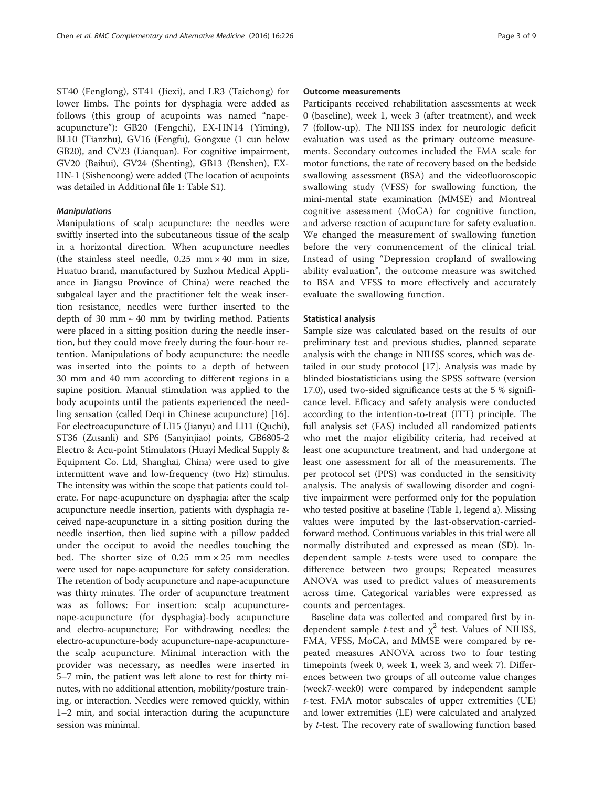ST40 (Fenglong), ST41 (Jiexi), and LR3 (Taichong) for lower limbs. The points for dysphagia were added as follows (this group of acupoints was named "napeacupuncture"): GB20 (Fengchi), EX-HN14 (Yiming), BL10 (Tianzhu), GV16 (Fengfu), Gongxue (1 cun below GB20), and CV23 (Lianquan). For cognitive impairment, GV20 (Baihui), GV24 (Shenting), GB13 (Benshen), EX-HN-1 (Sishencong) were added (The location of acupoints was detailed in Additional file [1:](#page-7-0) Table S1).

## Manipulations

Manipulations of scalp acupuncture: the needles were swiftly inserted into the subcutaneous tissue of the scalp in a horizontal direction. When acupuncture needles (the stainless steel needle,  $0.25$  mm  $\times$  40 mm in size, Huatuo brand, manufactured by Suzhou Medical Appliance in Jiangsu Province of China) were reached the subgaleal layer and the practitioner felt the weak insertion resistance, needles were further inserted to the depth of 30 mm  $\sim$  40 mm by twirling method. Patients were placed in a sitting position during the needle insertion, but they could move freely during the four-hour retention. Manipulations of body acupuncture: the needle was inserted into the points to a depth of between 30 mm and 40 mm according to different regions in a supine position. Manual stimulation was applied to the body acupoints until the patients experienced the needling sensation (called Deqi in Chinese acupuncture) [\[16](#page-8-0)]. For electroacupuncture of LI15 (Jianyu) and LI11 (Quchi), ST36 (Zusanli) and SP6 (Sanyinjiao) points, GB6805-2 Electro & Acu-point Stimulators (Huayi Medical Supply & Equipment Co. Ltd, Shanghai, China) were used to give intermittent wave and low-frequency (two Hz) stimulus. The intensity was within the scope that patients could tolerate. For nape-acupuncture on dysphagia: after the scalp acupuncture needle insertion, patients with dysphagia received nape-acupuncture in a sitting position during the needle insertion, then lied supine with a pillow padded under the occiput to avoid the needles touching the bed. The shorter size of  $0.25$  mm  $\times 25$  mm needles were used for nape-acupuncture for safety consideration. The retention of body acupuncture and nape-acupuncture was thirty minutes. The order of acupuncture treatment was as follows: For insertion: scalp acupuncturenape-acupuncture (for dysphagia)-body acupuncture and electro-acupuncture; For withdrawing needles: the electro-acupuncture-body acupuncture-nape-acupuncturethe scalp acupuncture. Minimal interaction with the provider was necessary, as needles were inserted in 5–7 min, the patient was left alone to rest for thirty minutes, with no additional attention, mobility/posture training, or interaction. Needles were removed quickly, within 1–2 min, and social interaction during the acupuncture session was minimal.

#### Outcome measurements

Participants received rehabilitation assessments at week 0 (baseline), week 1, week 3 (after treatment), and week 7 (follow-up). The NIHSS index for neurologic deficit evaluation was used as the primary outcome measurements. Secondary outcomes included the FMA scale for motor functions, the rate of recovery based on the bedside swallowing assessment (BSA) and the videofluoroscopic swallowing study (VFSS) for swallowing function, the mini-mental state examination (MMSE) and Montreal cognitive assessment (MoCA) for cognitive function, and adverse reaction of acupuncture for safety evaluation. We changed the measurement of swallowing function before the very commencement of the clinical trial. Instead of using "Depression cropland of swallowing ability evaluation", the outcome measure was switched to BSA and VFSS to more effectively and accurately evaluate the swallowing function.

#### Statistical analysis

Sample size was calculated based on the results of our preliminary test and previous studies, planned separate analysis with the change in NIHSS scores, which was detailed in our study protocol [[17](#page-8-0)]. Analysis was made by blinded biostatisticians using the SPSS software (version 17.0), used two-sided significance tests at the 5 % significance level. Efficacy and safety analysis were conducted according to the intention-to-treat (ITT) principle. The full analysis set (FAS) included all randomized patients who met the major eligibility criteria, had received at least one acupuncture treatment, and had undergone at least one assessment for all of the measurements. The per protocol set (PPS) was conducted in the sensitivity analysis. The analysis of swallowing disorder and cognitive impairment were performed only for the population who tested positive at baseline (Table [1](#page-3-0), legend a). Missing values were imputed by the last-observation-carriedforward method. Continuous variables in this trial were all normally distributed and expressed as mean (SD). Independent sample t-tests were used to compare the difference between two groups; Repeated measures ANOVA was used to predict values of measurements across time. Categorical variables were expressed as counts and percentages.

Baseline data was collected and compared first by independent sample *t*-test and  $\chi^2$  test. Values of NIHSS, FMA, VFSS, MoCA, and MMSE were compared by repeated measures ANOVA across two to four testing timepoints (week 0, week 1, week 3, and week 7). Differences between two groups of all outcome value changes (week7-week0) were compared by independent sample t-test. FMA motor subscales of upper extremities (UE) and lower extremities (LE) were calculated and analyzed by t-test. The recovery rate of swallowing function based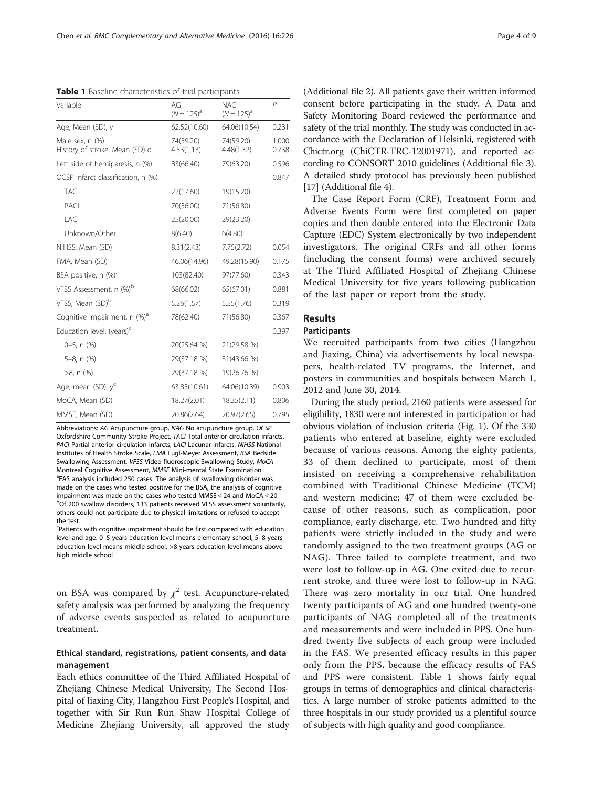Abbreviations: AG Acupuncture group, NAG No acupuncture group, OCSP Oxfordshire Community Stroke Project, TACI Total anterior circulation infarcts, PACI Partial anterior circulation infarcts, LACI Lacunar infarcts, NIHSS National Institutes of Health Stroke Scale, FMA Fugl-Meyer Assessment, BSA Bedside Swallowing Assessment, VFSS Video-fluoroscopic Swallowing Study, MoCA Montreal Cognitive Assessment, MMSE Mini-mental State Examination FAS analysis included 250 cases. The analysis of swallowing disorder was made on the cases who tested positive for the BSA, the analysis of cognitive impairment was made on the cases who tested MMSE  $\leq$  24 and MoCA  $\leq$  20 <sup>b</sup>Of 200 swallow disorders, 133 patients received VFSS assessment voluntarily, others could not participate due to physical limitations or refused to accept the test

Patients with cognitive impairment should be first compared with education level and age. 0–5 years education level means elementary school, 5–8 years education level means middle school, >8 years education level means above high middle school

on BSA was compared by  $\chi^2$  test. Acupuncture-related safety analysis was performed by analyzing the frequency of adverse events suspected as related to acupuncture treatment.

## Ethical standard, registrations, patient consents, and data management

Each ethics committee of the Third Affiliated Hospital of Zhejiang Chinese Medical University, The Second Hospital of Jiaxing City, Hangzhou First People's Hospital, and together with Sir Run Run Shaw Hospital College of Medicine Zhejiang University, all approved the study

(Additional file [2](#page-7-0)). All patients gave their written informed consent before participating in the study. A Data and Safety Monitoring Board reviewed the performance and safety of the trial monthly. The study was conducted in accordance with the Declaration of Helsinki, registered with Chictr.org (ChiCTR-TRC-12001971), and reported according to CONSORT 2010 guidelines (Additional file [3](#page-7-0)). A detailed study protocol has previously been published [[17](#page-8-0)] (Additional file [4\)](#page-7-0).

The Case Report Form (CRF), Treatment Form and Adverse Events Form were first completed on paper copies and then double entered into the Electronic Data Capture (EDC) System electronically by two independent investigators. The original CRFs and all other forms (including the consent forms) were archived securely at The Third Affiliated Hospital of Zhejiang Chinese Medical University for five years following publication of the last paper or report from the study.

## Results

## Participants

We recruited participants from two cities (Hangzhou and Jiaxing, China) via advertisements by local newspapers, health-related TV programs, the Internet, and posters in communities and hospitals between March 1, 2012 and June 30, 2014.

During the study period, 2160 patients were assessed for eligibility, 1830 were not interested in participation or had obvious violation of inclusion criteria (Fig. [1](#page-4-0)). Of the 330 patients who entered at baseline, eighty were excluded because of various reasons. Among the eighty patients, 33 of them declined to participate, most of them insisted on receiving a comprehensive rehabilitation combined with Traditional Chinese Medicine (TCM) and western medicine; 47 of them were excluded because of other reasons, such as complication, poor compliance, early discharge, etc. Two hundred and fifty patients were strictly included in the study and were randomly assigned to the two treatment groups (AG or NAG). Three failed to complete treatment, and two were lost to follow-up in AG. One exited due to recurrent stroke, and three were lost to follow-up in NAG. There was zero mortality in our trial. One hundred twenty participants of AG and one hundred twenty-one participants of NAG completed all of the treatments and measurements and were included in PPS. One hundred twenty five subjects of each group were included in the FAS. We presented efficacy results in this paper only from the PPS, because the efficacy results of FAS and PPS were consistent. Table 1 shows fairly equal groups in terms of demographics and clinical characteristics. A large number of stroke patients admitted to the three hospitals in our study provided us a plentiful source of subjects with high quality and good compliance.

<span id="page-3-0"></span>Table 1 Baseline characteristics of trial participants

| Variable                                          | AG<br>$(N = 125)^{a}$   | <b>NAG</b><br>$(N = 125)^{a}$ | $\mathcal P$   |  |
|---------------------------------------------------|-------------------------|-------------------------------|----------------|--|
| Age, Mean (SD), y                                 | 62.52(10.60)            | 64.06(10.54)                  | 0.231          |  |
| Male sex, n (%)<br>History of stroke, Mean (SD) d | 74(59.20)<br>4.53(1.13) | 74(59.20)<br>4.48(1.32)       | 1.000<br>0.738 |  |
| Left side of hemiparesis, n (%)                   | 83(66.40)               | 79(63.20)                     | 0.596          |  |
| OCSP infarct classification, n (%)                |                         |                               | 0.847          |  |
| <b>TACI</b>                                       | 22(17.60)               | 19(15.20)                     |                |  |
| PACI                                              | 70(56.00)               | 71(56.80)                     |                |  |
| <b>LACI</b>                                       | 25(20.00)               | 29(23.20)                     |                |  |
| Unknown/Other                                     | 8(6.40)                 | 6(4.80)                       |                |  |
| NIHSS, Mean (SD)                                  | 8.31(2.43)              | 7.75(2.72)                    | 0.054          |  |
| FMA, Mean (SD)                                    | 46.06(14.96)            | 49.28(15.90)                  | 0.175          |  |
| BSA positive, n (%) <sup>a</sup>                  | 103(82.40)              | 97(77.60)                     | 0.343          |  |
| VFSS Assessment, n (%) <sup>b</sup>               | 68(66.02)               | 65(67.01)                     | 0.881          |  |
| VFSS, Mean (SD) <sup>b</sup>                      | 5.26(1.57)              | 5.55(1.76)                    | 0.319          |  |
| Cognitive impairment, n (%) <sup>a</sup>          | 78(62.40)               | 71(56.80)                     | 0.367          |  |
| Education level, (years) <sup>c</sup>             |                         |                               | 0.397          |  |
| $0-5$ , n $(\%)$                                  | 20(25.64 %)             | 21(29.58 %)                   |                |  |
| 5-8, n (%)                                        | 29(37.18 %)             | 31(43.66 %)                   |                |  |
| $>8$ , n $(\%)$                                   | 29(37.18 %)             | 19(26.76 %)                   |                |  |
| Age, mean (SD), $y^c$                             | 63.85(10.61)            | 64.06(10.39)                  | 0.903          |  |
| MoCA, Mean (SD)                                   | 18.27(2.01)             | 18.35(2.11)                   | 0.806          |  |
| MMSE, Mean (SD)                                   | 20.86(2.64)             | 20.97(2.65)                   | 0.795          |  |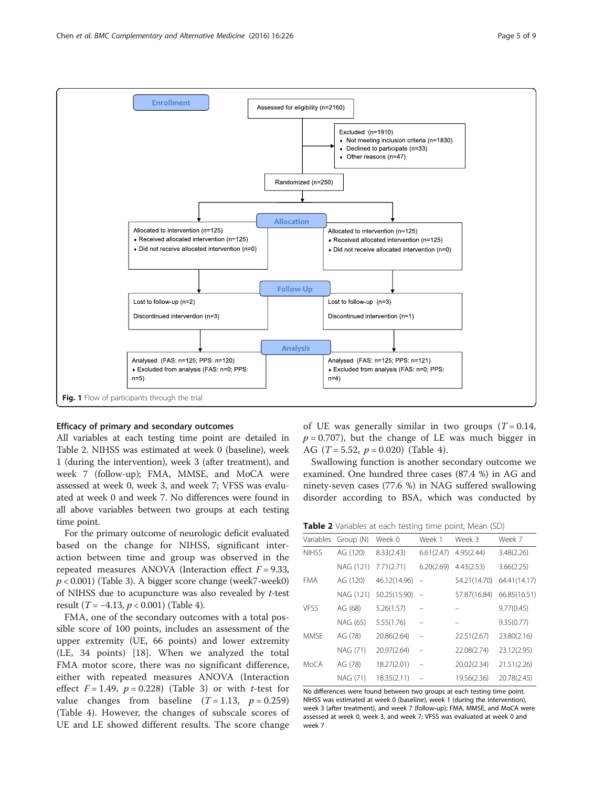<span id="page-4-0"></span>

### Efficacy of primary and secondary outcomes

All variables at each testing time point are detailed in Table 2. NIHSS was estimated at week 0 (baseline), week 1 (during the intervention), week 3 (after treatment), and week 7 (follow-up); FMA, MMSE, and MoCA were assessed at week 0, week 3, and week 7; VFSS was evaluated at week 0 and week 7. No differences were found in all above variables between two groups at each testing time point.

For the primary outcome of neurologic deficit evaluated based on the change for NIHSS, significant interaction between time and group was observed in the repeated measures ANOVA (Interaction effect  $F = 9.33$ ,  $p < 0.001$ ) (Table [3\)](#page-5-0). A bigger score change (week7-week0) of NIHSS due to acupuncture was also revealed by t-test result ( $T = -4.13$ ,  $p < 0.001$ ) (Table [4\)](#page-5-0).

FMA, one of the secondary outcomes with a total possible score of 100 points, includes an assessment of the upper extremity (UE, 66 points) and lower extremity (LE, 34 points) [\[18](#page-8-0)]. When we analyzed the total FMA motor score, there was no significant difference, either with repeated measures ANOVA (Interaction effect  $F = 1.49$ ,  $p = 0.228$ ) (Table [3\)](#page-5-0) or with *t*-test for value changes from baseline  $(T = 1.13, p = 0.259)$ (Table [4](#page-5-0)). However, the changes of subscale scores of UE and LE showed different results. The score change

of UE was generally similar in two groups  $(T = 0.14,$  $p = 0.707$ , but the change of LE was much bigger in AG  $(T = 5.52, p = 0.020)$  (Table [4\)](#page-5-0).

Swallowing function is another secondary outcome we examined. One hundred three cases (87.4 %) in AG and ninety-seven cases (77.6 %) in NAG suffered swallowing disorder according to BSA, which was conducted by

| Table 2 Variables at each testing time point, Mean (SD) |  |  |
|---------------------------------------------------------|--|--|
|---------------------------------------------------------|--|--|

| Variables    | Group (N) | Week 0       | Week 1                   | Week 3       | Week 7       |
|--------------|-----------|--------------|--------------------------|--------------|--------------|
| <b>NIHSS</b> | AG (120)  | 8.33(2.43)   | 6.61(2.47)               | 4.95(2.44)   | 3.48(2.26)   |
|              | NAG (121) | 7.71(2.71)   | 6.20(2.69)               | 4.43(2.53)   | 3.66(2.25)   |
| <b>FMA</b>   | AG (120)  | 46.12(14.96) | $\equiv$                 | 54.21(14.70) | 64.41(14.17) |
|              | NAG (121) | 50.25(15.90) | $\overline{\phantom{a}}$ | 57.87(16.84) | 66.85(16.51) |
| <b>VESS</b>  | AG (68)   | 5.26(1.57)   | $\overline{\phantom{0}}$ |              | 9.77(0.45)   |
|              | NAG (65)  | 5.55(1.76)   |                          |              | 9.35(0.77)   |
| <b>MMSE</b>  | AG (78)   | 20.86(2.64)  | $\overline{\phantom{0}}$ | 22.51(2.67)  | 23.80(2.16)  |
|              | NAG (71)  | 20.97(2.64)  | $\overline{a}$           | 22.08(2.74)  | 23.12(2.95)  |
| MoCA         | AG (78)   | 18.27(2.01)  | $\overline{\phantom{0}}$ | 20.02(2.34)  | 21.51(2.26)  |
|              | NAG (71)  | 18.35(2.11)  |                          | 19.56(2.36)  | 20.78(2.45)  |

No differences were found between two groups at each testing time point. NIHSS was estimated at week 0 (baseline), week 1 (during the intervention), week 3 (after treatment), and week 7 (follow-up); FMA, MMSE, and MoCA were assessed at week 0, week 3, and week 7; VFSS was evaluated at week 0 and week 7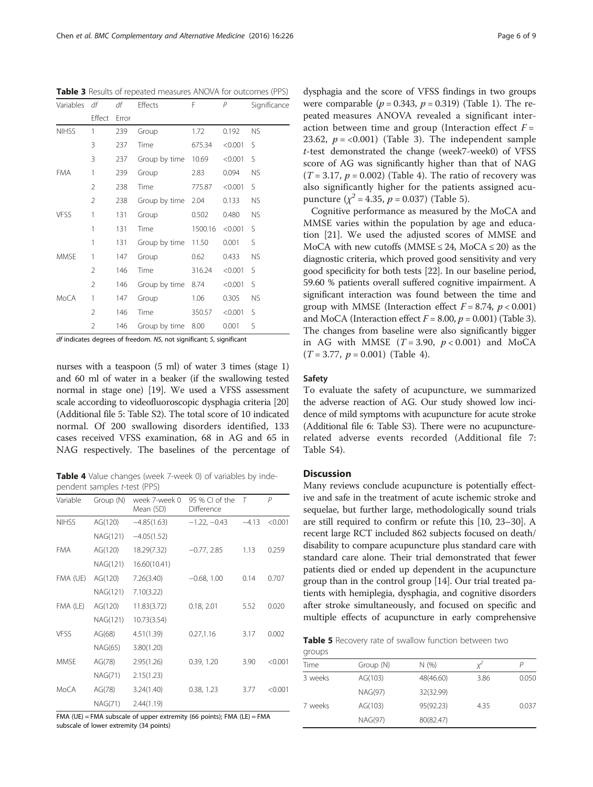df indicates degrees of freedom. NS, not significant; S, significant

nurses with a teaspoon (5 ml) of water 3 times (stage 1) and 60 ml of water in a beaker (if the swallowing tested normal in stage one) [\[19](#page-8-0)]. We used a VFSS assessment scale according to videofluoroscopic dysphagia criteria [\[20](#page-8-0)] (Additional file [5](#page-7-0): Table S2). The total score of 10 indicated normal. Of 200 swallowing disorders identified, 133 cases received VFSS examination, 68 in AG and 65 in NAG respectively. The baselines of the percentage of

Table 4 Value changes (week 7-week 0) of variables by independent samples t-test (PPS)

| Variable     | Group (N) | week 7-week 0<br>Mean (SD) | 95 % CI of the<br>Difference |         | P       |
|--------------|-----------|----------------------------|------------------------------|---------|---------|
| <b>NIHSS</b> | AG(120)   | $-4.85(1.63)$              | $-1.22, -0.43$               | $-4.13$ | < 0.001 |
|              | NAG(121)  | $-4.05(1.52)$              |                              |         |         |
| <b>FMA</b>   | AG(120)   | 18.29(7.32)                | $-0.77, 2.85$                | 1.13    | 0.259   |
|              | NAG(121)  | 16.60(10.41)               |                              |         |         |
| FMA (UE)     | AG(120)   | 7.26(3.40)                 | $-0.68, 1.00$                | 0.14    | 0.707   |
|              | NAG(121)  | 7.10(3.22)                 |                              |         |         |
| FMA (LE)     | AG(120)   | 11.83(3.72)                | 0.18, 2.01                   | 5.52    | 0.020   |
|              | NAG(121)  | 10.73(3.54)                |                              |         |         |
| <b>VFSS</b>  | AG(68)    | 4.51(1.39)                 | 0.27, 1.16                   | 3.17    | 0.002   |
|              | NAG(65)   | 3.80(1.20)                 |                              |         |         |
| MMSF         | AG(78)    | 2.95(1.26)                 | 0.39, 1.20                   | 3.90    | < 0.001 |
|              | NAG(71)   | 2.15(1.23)                 |                              |         |         |
| MoCA         | AG(78)    | 3.24(1.40)                 | 0.38, 1.23                   | 3.77    | < 0.001 |
|              | NAG(71)   | 2.44(1.19)                 |                              |         |         |

FMA (UE) = FMA subscale of upper extremity (66 points); FMA (LE) = FMA subscale of lower extremity (34 points)

dysphagia and the score of VFSS findings in two groups were comparable ( $p = 0.343$ ,  $p = 0.319$ ) (Table [1\)](#page-3-0). The repeated measures ANOVA revealed a significant interaction between time and group (Interaction effect  $F =$ 23.62,  $p = <0.001$ ) (Table 3). The independent sample t-test demonstrated the change (week7-week0) of VFSS score of AG was significantly higher than that of NAG  $(T = 3.17, p = 0.002)$  (Table 4). The ratio of recovery was also significantly higher for the patients assigned acupuncture  $(\chi^2 = 4.35, p = 0.037)$  (Table 5).

Cognitive performance as measured by the MoCA and MMSE varies within the population by age and education [[21\]](#page-8-0). We used the adjusted scores of MMSE and MoCA with new cutoffs (MMSE  $\leq$  24, MoCA  $\leq$  20) as the diagnostic criteria, which proved good sensitivity and very good specificity for both tests [[22](#page-8-0)]. In our baseline period, 59.60 % patients overall suffered cognitive impairment. A significant interaction was found between the time and group with MMSE (Interaction effect  $F = 8.74$ ,  $p < 0.001$ ) and MoCA (Interaction effect  $F = 8.00$ ,  $p = 0.001$ ) (Table 3). The changes from baseline were also significantly bigger in AG with MMSE  $(T = 3.90, p < 0.001)$  and MoCA  $(T = 3.77, p = 0.001)$  (Table 4).

#### Safety

To evaluate the safety of acupuncture, we summarized the adverse reaction of AG. Our study showed low incidence of mild symptoms with acupuncture for acute stroke (Additional file [6](#page-7-0): Table S3). There were no acupuncturerelated adverse events recorded (Additional file [7](#page-7-0): Table S4).

#### **Discussion**

Many reviews conclude acupuncture is potentially effective and safe in the treatment of acute ischemic stroke and sequelae, but further large, methodologically sound trials are still required to confirm or refute this [[10](#page-8-0), [23](#page-8-0)–[30\]](#page-8-0). A recent large RCT included 862 subjects focused on death/ disability to compare acupuncture plus standard care with standard care alone. Their trial demonstrated that fewer patients died or ended up dependent in the acupuncture group than in the control group [\[14\]](#page-8-0). Our trial treated patients with hemiplegia, dysphagia, and cognitive disorders after stroke simultaneously, and focused on specific and multiple effects of acupuncture in early comprehensive

Table 5 Recovery rate of swallow function between two

| groups  |           |           |      |       |
|---------|-----------|-----------|------|-------|
| Time    | Group (N) | N(%)      |      | P     |
| 3 weeks | AG(103)   | 48(46.60) | 3.86 | 0.050 |
|         | NAG(97)   | 32(32.99) |      |       |
| 7 weeks | AG(103)   | 95(92.23) | 4.35 | 0.037 |
|         | NAG(97)   | 80(82.47) |      |       |
|         |           |           |      |       |

<span id="page-5-0"></span>Table 3 Results of repeated measures ANOVA for outcomes (PPS)

| Variables df |                | df    | Effects       | F       | $\overline{P}$ | Significance |
|--------------|----------------|-------|---------------|---------|----------------|--------------|
|              | Effect         | Error |               |         |                |              |
| <b>NIHSS</b> | 1              | 239   | Group         | 1.72    | 0.192          | <b>NS</b>    |
|              | 3              | 237   | Time          | 675.34  | < 0.001        | S            |
|              | 3              | 237   | Group by time | 10.69   | < 0.001        | S            |
| <b>FMA</b>   | 1              | 239   | Group         | 2.83    | 0.094          | <b>NS</b>    |
|              | 2              | 238   | Time          | 775.87  | < 0.001        | S            |
|              | $\overline{2}$ | 238   | Group by time | 2.04    | 0.133          | <b>NS</b>    |
| <b>VFSS</b>  | 1              | 131   | Group         | 0.502   | 0.480          | <b>NS</b>    |
|              | 1              | 131   | Time          | 1500.16 | < 0.001        | S            |
|              | 1              | 131   | Group by time | 11.50   | 0.001          | S            |
| MMSE         | 1              | 147   | Group         | 0.62    | 0.433          | <b>NS</b>    |
|              | 2              | 146   | Time          | 316.24  | < 0.001        | S            |
|              | $\overline{2}$ | 146   | Group by time | 8.74    | < 0.001        | S            |
| MoCA         | 1              | 147   | Group         | 1.06    | 0.305          | <b>NS</b>    |
|              | 2              | 146   | Time          | 350.57  | < 0.001        | S            |
|              | $\overline{2}$ | 146   | Group by time | 8.00    | 0.001          | S            |
|              |                |       |               |         |                |              |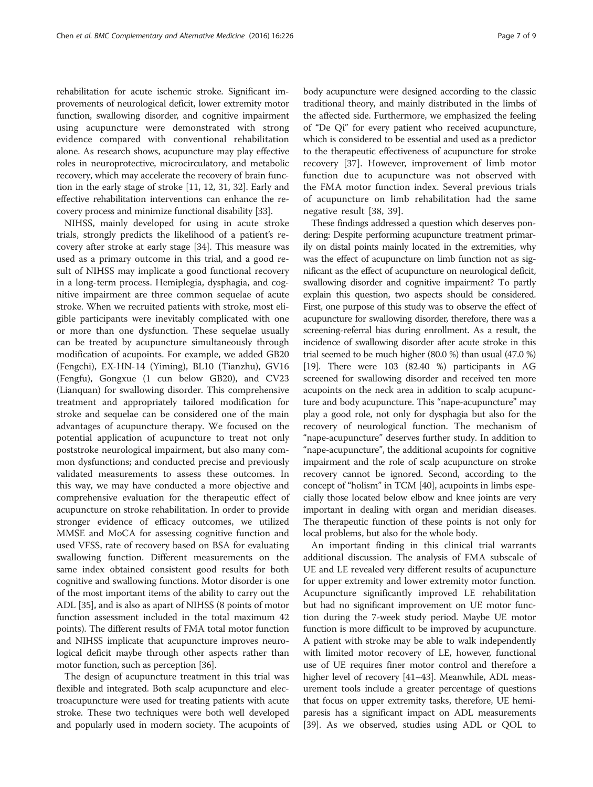rehabilitation for acute ischemic stroke. Significant improvements of neurological deficit, lower extremity motor function, swallowing disorder, and cognitive impairment using acupuncture were demonstrated with strong evidence compared with conventional rehabilitation alone. As research shows, acupuncture may play effective roles in neuroprotective, microcirculatory, and metabolic recovery, which may accelerate the recovery of brain function in the early stage of stroke [[11](#page-8-0), [12](#page-8-0), [31](#page-8-0), [32\]](#page-8-0). Early and effective rehabilitation interventions can enhance the recovery process and minimize functional disability [\[33\]](#page-8-0).

NIHSS, mainly developed for using in acute stroke trials, strongly predicts the likelihood of a patient's recovery after stroke at early stage [[34\]](#page-8-0). This measure was used as a primary outcome in this trial, and a good result of NIHSS may implicate a good functional recovery in a long-term process. Hemiplegia, dysphagia, and cognitive impairment are three common sequelae of acute stroke. When we recruited patients with stroke, most eligible participants were inevitably complicated with one or more than one dysfunction. These sequelae usually can be treated by acupuncture simultaneously through modification of acupoints. For example, we added GB20 (Fengchi), EX-HN-14 (Yiming), BL10 (Tianzhu), GV16 (Fengfu), Gongxue (1 cun below GB20), and CV23 (Lianquan) for swallowing disorder. This comprehensive treatment and appropriately tailored modification for stroke and sequelae can be considered one of the main advantages of acupuncture therapy. We focused on the potential application of acupuncture to treat not only poststroke neurological impairment, but also many common dysfunctions; and conducted precise and previously validated measurements to assess these outcomes. In this way, we may have conducted a more objective and comprehensive evaluation for the therapeutic effect of acupuncture on stroke rehabilitation. In order to provide stronger evidence of efficacy outcomes, we utilized MMSE and MoCA for assessing cognitive function and used VFSS, rate of recovery based on BSA for evaluating swallowing function. Different measurements on the same index obtained consistent good results for both cognitive and swallowing functions. Motor disorder is one of the most important items of the ability to carry out the ADL [[35](#page-8-0)], and is also as apart of NIHSS (8 points of motor function assessment included in the total maximum 42 points). The different results of FMA total motor function and NIHSS implicate that acupuncture improves neurological deficit maybe through other aspects rather than motor function, such as perception [[36](#page-8-0)].

The design of acupuncture treatment in this trial was flexible and integrated. Both scalp acupuncture and electroacupuncture were used for treating patients with acute stroke. These two techniques were both well developed and popularly used in modern society. The acupoints of body acupuncture were designed according to the classic traditional theory, and mainly distributed in the limbs of the affected side. Furthermore, we emphasized the feeling of "De Qi" for every patient who received acupuncture, which is considered to be essential and used as a predictor to the therapeutic effectiveness of acupuncture for stroke recovery [[37\]](#page-8-0). However, improvement of limb motor function due to acupuncture was not observed with the FMA motor function index. Several previous trials of acupuncture on limb rehabilitation had the same negative result [[38, 39\]](#page-8-0).

These findings addressed a question which deserves pondering: Despite performing acupuncture treatment primarily on distal points mainly located in the extremities, why was the effect of acupuncture on limb function not as significant as the effect of acupuncture on neurological deficit, swallowing disorder and cognitive impairment? To partly explain this question, two aspects should be considered. First, one purpose of this study was to observe the effect of acupuncture for swallowing disorder, therefore, there was a screening-referral bias during enrollment. As a result, the incidence of swallowing disorder after acute stroke in this trial seemed to be much higher (80.0 %) than usual (47.0 %) [[19](#page-8-0)]. There were 103 (82.40 %) participants in AG screened for swallowing disorder and received ten more acupoints on the neck area in addition to scalp acupuncture and body acupuncture. This "nape-acupuncture" may play a good role, not only for dysphagia but also for the recovery of neurological function. The mechanism of "nape-acupuncture" deserves further study. In addition to "nape-acupuncture", the additional acupoints for cognitive impairment and the role of scalp acupuncture on stroke recovery cannot be ignored. Second, according to the concept of "holism" in TCM [\[40\]](#page-8-0), acupoints in limbs especially those located below elbow and knee joints are very important in dealing with organ and meridian diseases. The therapeutic function of these points is not only for local problems, but also for the whole body.

An important finding in this clinical trial warrants additional discussion. The analysis of FMA subscale of UE and LE revealed very different results of acupuncture for upper extremity and lower extremity motor function. Acupuncture significantly improved LE rehabilitation but had no significant improvement on UE motor function during the 7-week study period. Maybe UE motor function is more difficult to be improved by acupuncture. A patient with stroke may be able to walk independently with limited motor recovery of LE, however, functional use of UE requires finer motor control and therefore a higher level of recovery [[41](#page-8-0)–[43\]](#page-8-0). Meanwhile, ADL measurement tools include a greater percentage of questions that focus on upper extremity tasks, therefore, UE hemiparesis has a significant impact on ADL measurements [[39](#page-8-0)]. As we observed, studies using ADL or QOL to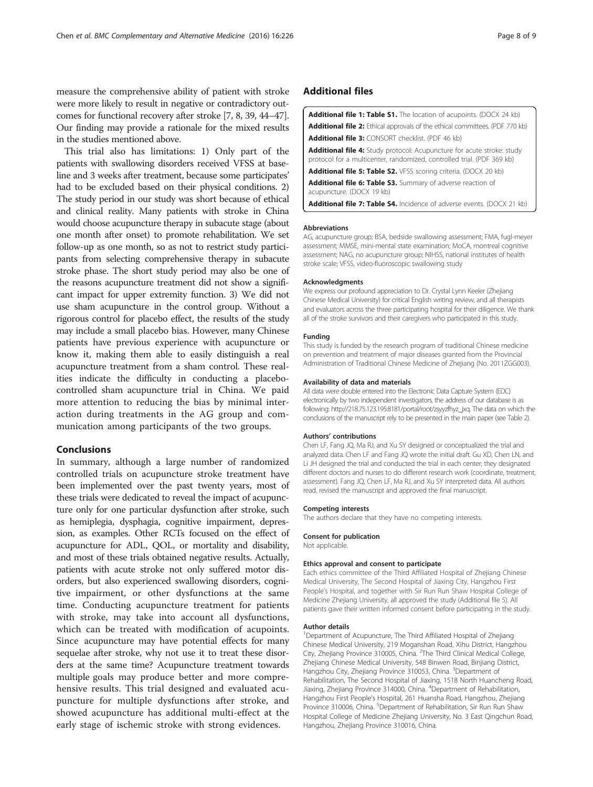<span id="page-7-0"></span>measure the comprehensive ability of patient with stroke were more likely to result in negative or contradictory outcomes for functional recovery after stroke [\[7](#page-8-0), [8, 39, 44](#page-8-0)–[47](#page-8-0)]. Our finding may provide a rationale for the mixed results in the studies mentioned above.

This trial also has limitations: 1) Only part of the patients with swallowing disorders received VFSS at baseline and 3 weeks after treatment, because some participates' had to be excluded based on their physical conditions. 2) The study period in our study was short because of ethical and clinical reality. Many patients with stroke in China would choose acupuncture therapy in subacute stage (about one month after onset) to promote rehabilitation. We set follow-up as one month, so as not to restrict study participants from selecting comprehensive therapy in subacute stroke phase. The short study period may also be one of the reasons acupuncture treatment did not show a significant impact for upper extremity function. 3) We did not use sham acupuncture in the control group. Without a rigorous control for placebo effect, the results of the study may include a small placebo bias. However, many Chinese patients have previous experience with acupuncture or know it, making them able to easily distinguish a real acupuncture treatment from a sham control. These realities indicate the difficulty in conducting a placebocontrolled sham acupuncture trial in China. We paid more attention to reducing the bias by minimal interaction during treatments in the AG group and communication among participants of the two groups.

## Conclusions

In summary, although a large number of randomized controlled trials on acupuncture stroke treatment have been implemented over the past twenty years, most of these trials were dedicated to reveal the impact of acupuncture only for one particular dysfunction after stroke, such as hemiplegia, dysphagia, cognitive impairment, depression, as examples. Other RCTs focused on the effect of acupuncture for ADL, QOL, or mortality and disability, and most of these trials obtained negative results. Actually, patients with acute stroke not only suffered motor disorders, but also experienced swallowing disorders, cognitive impairment, or other dysfunctions at the same time. Conducting acupuncture treatment for patients with stroke, may take into account all dysfunctions, which can be treated with modification of acupoints. Since acupuncture may have potential effects for many sequelae after stroke, why not use it to treat these disorders at the same time? Acupuncture treatment towards multiple goals may produce better and more comprehensive results. This trial designed and evaluated acupuncture for multiple dysfunctions after stroke, and showed acupuncture has additional multi-effect at the early stage of ischemic stroke with strong evidences.

## Additional files

| <b>Additional file 1: Table S1.</b> The location of acupoints. (DOCX 24 kb)                                                                             |
|---------------------------------------------------------------------------------------------------------------------------------------------------------|
| <b>Additional file 2:</b> Ethical approvals of the ethical committees. (PDF 770 kb)                                                                     |
| <b>Additional file 3: CONSORT checklist. (PDF 46 kb)</b>                                                                                                |
| <b>Additional file 4:</b> Study protocol: Acupuncture for acute stroke: study<br>protocol for a multicenter, randomized, controlled trial. (PDF 369 kb) |
| <b>Additional file 5: Table S2.</b> VFSS scoring criteria. (DOCX 20 kb)                                                                                 |
| <b>Additional file 6: Table S3.</b> Summary of adverse reaction of<br>acupuncture. (DOCX 19 kb)                                                         |
| <b>Additional file 7: Table S4.</b> Incidence of adverse events. (DOCX 21 kb)                                                                           |
|                                                                                                                                                         |

#### Abbreviations

AG, acupuncture group; BSA, bedside swallowing assessment; FMA, fugl-meyer assessment; MMSE, mini-mental state examination; MoCA, montreal cognitive assessment; NAG, no acupuncture group; NIHSS, national institutes of health stroke scale; VFSS, video-fluoroscopic swallowing study

#### Acknowledgments

We express our profound appreciation to Dr. Crystal Lynn Keeler (Zhejiang Chinese Medical University) for critical English writing review, and all therapists and evaluators across the three participating hospital for their diligence. We thank all of the stroke survivors and their caregivers who participated in this study.

#### Funding

This study is funded by the research program of traditional Chinese medicine on prevention and treatment of major diseases granted from the Provincial Administration of Traditional Chinese Medicine of Zhejiang (No. 2011ZGG003).

#### Availability of data and materials

All data were double entered into the Electronic Data Capture System (EDC) electronically by two independent investigators, the address of our database is as following: [http://218.75.123.195:8181/portal/root/zsyyzfhyz\\_jxq.](http://218.75.123.195:8181/portal/root/zsyyzfhyz_jxq) The data on which the conclusions of the manuscript rely to be presented in the main paper (see Table [2\)](#page-4-0).

#### Authors' contributions

Chen LF, Fang JQ, Ma RJ, and Xu SY designed or conceptualized the trial and analyzed data. Chen LF and Fang JQ wrote the initial draft. Gu XD, Chen LN, and Li JH designed the trial and conducted the trial in each center; they designated different doctors and nurses to do different research work (coordinate, treatment, assessment). Fang JQ, Chen LF, Ma RJ, and Xu SY interpreted data. All authors read, revised the manuscript and approved the final manuscript.

#### Competing interests

The authors declare that they have no competing interests.

#### Consent for publication

Not applicable.

#### Ethics approval and consent to participate

Each ethics committee of the Third Affiliated Hospital of Zhejiang Chinese Medical University, The Second Hospital of Jiaxing City, Hangzhou First People's Hospital, and together with Sir Run Run Shaw Hospital College of Medicine Zhejiang University, all approved the study (Additional file 5). All patients gave their written informed consent before participating in the study.

#### Author details

<sup>1</sup>Department of Acupuncture, The Third Affiliated Hospital of Zhejiang Chinese Medical University, 219 Moganshan Road, Xihu District, Hangzhou City, Zhejiang Province 310005, China. <sup>2</sup>The Third Clinical Medical College, Zhejiang Chinese Medical University, 548 Binwen Road, Binjiang District, Hangzhou City, Zhejiang Province 310053, China. <sup>3</sup>Department of Rehabilitation, The Second Hospital of Jiaxing, 1518 North Huancheng Road, Jiaxing, Zhejiang Province 314000, China. <sup>4</sup>Department of Rehabilitation Hangzhou First People's Hospital, 261 Huansha Road, Hangzhou, Zhejiang Province 310006, China. <sup>5</sup>Department of Rehabilitation, Sir Run Run Shaw Hospital College of Medicine Zhejiang University, No. 3 East Qingchun Road, Hangzhou, Zhejiang Province 310016, China.